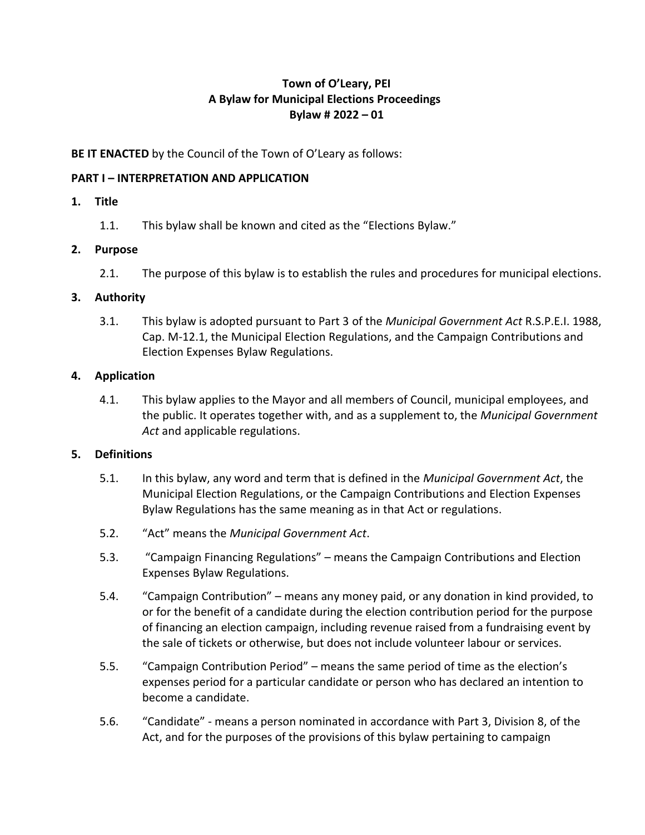# **Town of O'Leary, PEI A Bylaw for Municipal Elections Proceedings Bylaw # 2022 – 01**

# **BE IT ENACTED** by the Council of the Town of O'Leary as follows:

### **PART I – INTERPRETATION AND APPLICATION**

### **1. Title**

1.1. This bylaw shall be known and cited as the "Elections Bylaw."

# **2. Purpose**

2.1. The purpose of this bylaw is to establish the rules and procedures for municipal elections.

# **3. Authority**

3.1. This bylaw is adopted pursuant to Part 3 of the *Municipal Government Act* R.S.P.E.I. 1988, Cap. M-12.1, the Municipal Election Regulations, and the Campaign Contributions and Election Expenses Bylaw Regulations.

# **4. Application**

4.1. This bylaw applies to the Mayor and all members of Council, municipal employees, and the public. It operates together with, and as a supplement to, the *Municipal Government Act* and applicable regulations.

# **5. Definitions**

- 5.1. In this bylaw, any word and term that is defined in the *Municipal Government Act*, the Municipal Election Regulations, or the Campaign Contributions and Election Expenses Bylaw Regulations has the same meaning as in that Act or regulations.
- 5.2. "Act" means the *Municipal Government Act*.
- 5.3. "Campaign Financing Regulations" means the Campaign Contributions and Election Expenses Bylaw Regulations.
- 5.4. "Campaign Contribution" means any money paid, or any donation in kind provided, to or for the benefit of a candidate during the election contribution period for the purpose of financing an election campaign, including revenue raised from a fundraising event by the sale of tickets or otherwise, but does not include volunteer labour or services.
- 5.5. "Campaign Contribution Period" means the same period of time as the election's expenses period for a particular candidate or person who has declared an intention to become a candidate.
- 5.6. "Candidate" means a person nominated in accordance with Part 3, Division 8, of the Act, and for the purposes of the provisions of this bylaw pertaining to campaign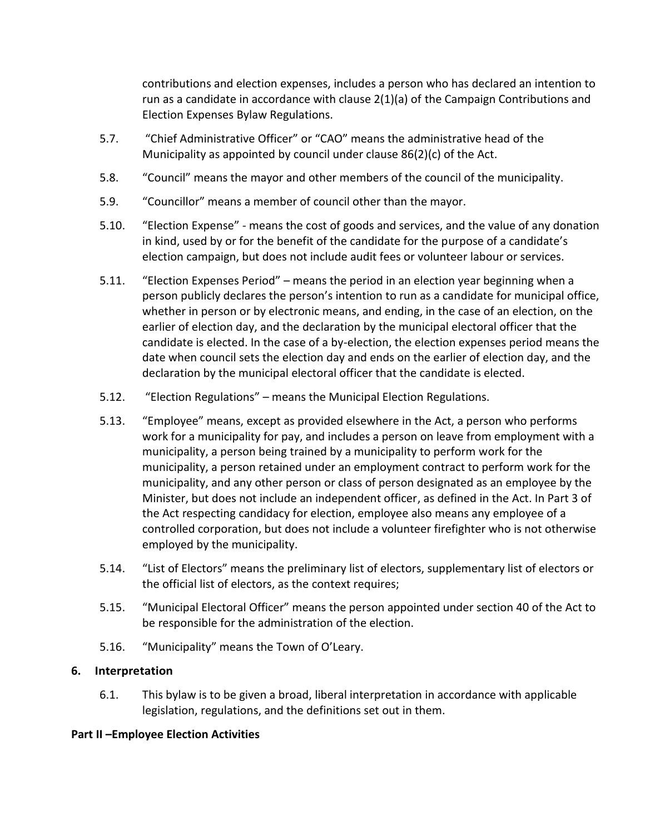contributions and election expenses, includes a person who has declared an intention to run as a candidate in accordance with clause 2(1)(a) of the Campaign Contributions and Election Expenses Bylaw Regulations.

- 5.7. "Chief Administrative Officer" or "CAO" means the administrative head of the Municipality as appointed by council under clause 86(2)(c) of the Act*.*
- 5.8. "Council" means the mayor and other members of the council of the municipality.
- 5.9. "Councillor" means a member of council other than the mayor.
- 5.10. "Election Expense" means the cost of goods and services, and the value of any donation in kind, used by or for the benefit of the candidate for the purpose of a candidate's election campaign, but does not include audit fees or volunteer labour or services.
- 5.11. "Election Expenses Period" means the period in an election year beginning when a person publicly declares the person's intention to run as a candidate for municipal office, whether in person or by electronic means, and ending, in the case of an election, on the earlier of election day, and the declaration by the municipal electoral officer that the candidate is elected. In the case of a by-election, the election expenses period means the date when council sets the election day and ends on the earlier of election day, and the declaration by the municipal electoral officer that the candidate is elected.
- 5.12. "Election Regulations" means the Municipal Election Regulations.
- 5.13. "Employee" means, except as provided elsewhere in the Act, a person who performs work for a municipality for pay, and includes a person on leave from employment with a municipality, a person being trained by a municipality to perform work for the municipality, a person retained under an employment contract to perform work for the municipality, and any other person or class of person designated as an employee by the Minister, but does not include an independent officer, as defined in the Act. In Part 3 of the Act respecting candidacy for election, employee also means any employee of a controlled corporation, but does not include a volunteer firefighter who is not otherwise employed by the municipality.
- 5.14. "List of Electors" means the preliminary list of electors, supplementary list of electors or the official list of electors, as the context requires;
- 5.15. "Municipal Electoral Officer" means the person appointed under section 40 of the Act to be responsible for the administration of the election.
- 5.16. "Municipality" means the Town of O'Leary.

# **6. Interpretation**

6.1. This bylaw is to be given a broad, liberal interpretation in accordance with applicable legislation, regulations, and the definitions set out in them.

# **Part II –Employee Election Activities**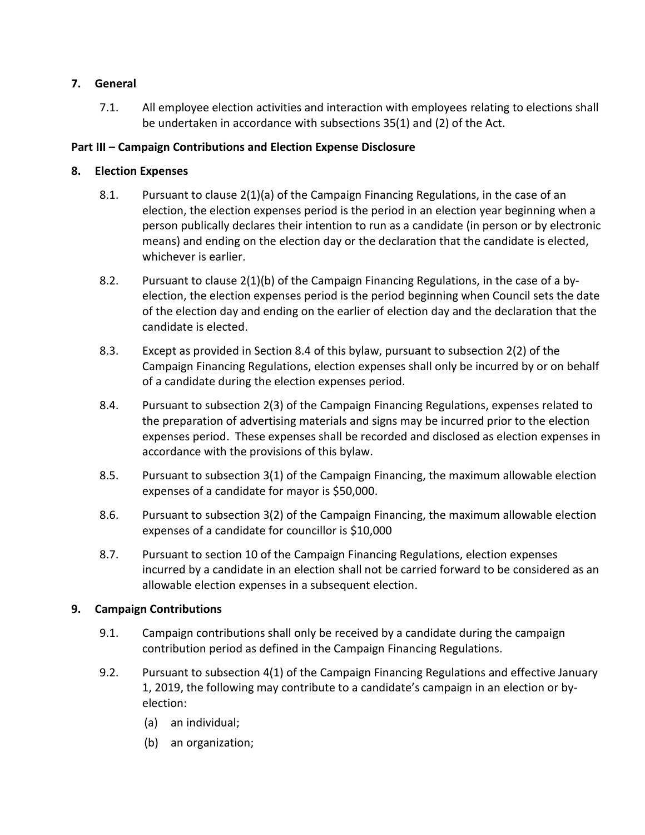# **7. General**

7.1. All employee election activities and interaction with employees relating to elections shall be undertaken in accordance with subsections 35(1) and (2) of the Act.

# **Part III – Campaign Contributions and Election Expense Disclosure**

# **8. Election Expenses**

- 8.1. Pursuant to clause 2(1)(a) of the Campaign Financing Regulations, in the case of an election, the election expenses period is the period in an election year beginning when a person publically declares their intention to run as a candidate (in person or by electronic means) and ending on the election day or the declaration that the candidate is elected, whichever is earlier.
- 8.2. Pursuant to clause 2(1)(b) of the Campaign Financing Regulations, in the case of a byelection, the election expenses period is the period beginning when Council sets the date of the election day and ending on the earlier of election day and the declaration that the candidate is elected.
- 8.3. Except as provided in Section 8.4 of this bylaw, pursuant to subsection 2(2) of the Campaign Financing Regulations, election expenses shall only be incurred by or on behalf of a candidate during the election expenses period.
- 8.4. Pursuant to subsection 2(3) of the Campaign Financing Regulations, expenses related to the preparation of advertising materials and signs may be incurred prior to the election expenses period. These expenses shall be recorded and disclosed as election expenses in accordance with the provisions of this bylaw.
- 8.5. Pursuant to subsection 3(1) of the Campaign Financing, the maximum allowable election expenses of a candidate for mayor is \$50,000.
- 8.6. Pursuant to subsection 3(2) of the Campaign Financing, the maximum allowable election expenses of a candidate for councillor is \$10,000
- 8.7. Pursuant to section 10 of the Campaign Financing Regulations, election expenses incurred by a candidate in an election shall not be carried forward to be considered as an allowable election expenses in a subsequent election.

# **9. Campaign Contributions**

- 9.1. Campaign contributions shall only be received by a candidate during the campaign contribution period as defined in the Campaign Financing Regulations.
- 9.2. Pursuant to subsection 4(1) of the Campaign Financing Regulations and effective January 1, 2019, the following may contribute to a candidate's campaign in an election or byelection:
	- (a) an individual;
	- (b) an organization;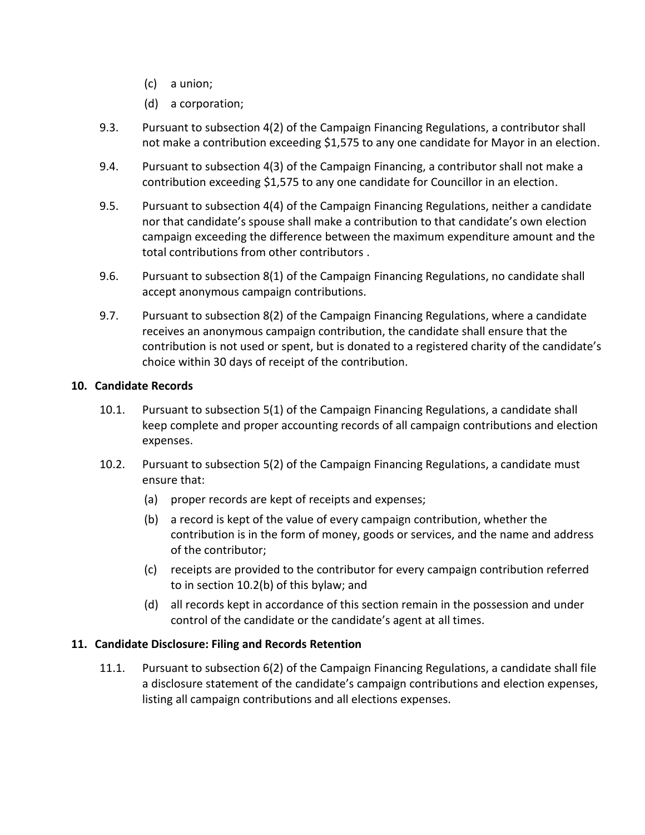- (c) a union;
- (d) a corporation;
- 9.3. Pursuant to subsection 4(2) of the Campaign Financing Regulations, a contributor shall not make a contribution exceeding \$1,575 to any one candidate for Mayor in an election.
- 9.4. Pursuant to subsection 4(3) of the Campaign Financing, a contributor shall not make a contribution exceeding \$1,575 to any one candidate for Councillor in an election.
- 9.5. Pursuant to subsection 4(4) of the Campaign Financing Regulations, neither a candidate nor that candidate's spouse shall make a contribution to that candidate's own election campaign exceeding the difference between the maximum expenditure amount and the total contributions from other contributors .
- 9.6. Pursuant to subsection 8(1) of the Campaign Financing Regulations, no candidate shall accept anonymous campaign contributions.
- 9.7. Pursuant to subsection 8(2) of the Campaign Financing Regulations, where a candidate receives an anonymous campaign contribution, the candidate shall ensure that the contribution is not used or spent, but is donated to a registered charity of the candidate's choice within 30 days of receipt of the contribution.

# **10. Candidate Records**

- 10.1. Pursuant to subsection 5(1) of the Campaign Financing Regulations, a candidate shall keep complete and proper accounting records of all campaign contributions and election expenses.
- 10.2. Pursuant to subsection 5(2) of the Campaign Financing Regulations, a candidate must ensure that:
	- (a) proper records are kept of receipts and expenses;
	- (b) a record is kept of the value of every campaign contribution, whether the contribution is in the form of money, goods or services, and the name and address of the contributor;
	- (c) receipts are provided to the contributor for every campaign contribution referred to in section 10.2(b) of this bylaw; and
	- (d) all records kept in accordance of this section remain in the possession and under control of the candidate or the candidate's agent at all times.

# **11. Candidate Disclosure: Filing and Records Retention**

11.1. Pursuant to subsection 6(2) of the Campaign Financing Regulations, a candidate shall file a disclosure statement of the candidate's campaign contributions and election expenses, listing all campaign contributions and all elections expenses.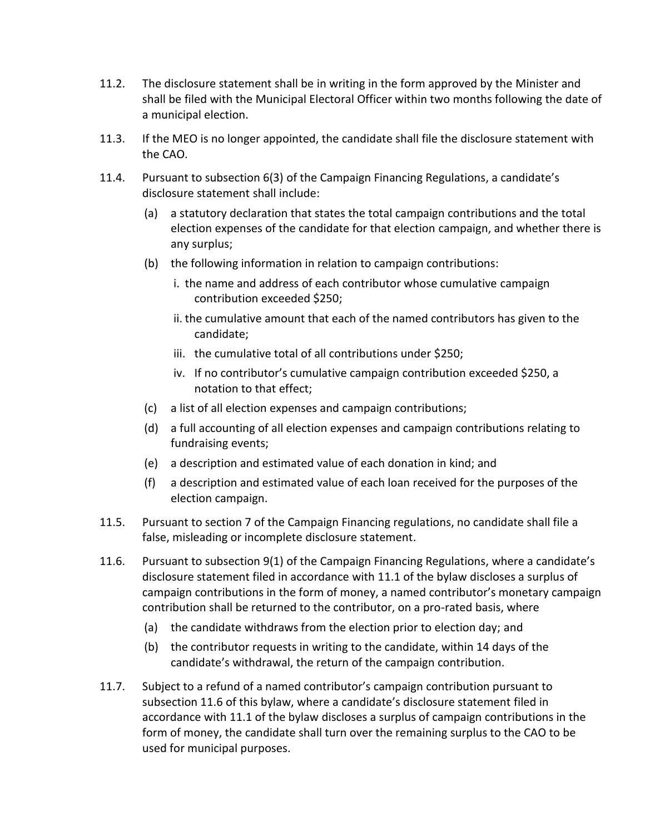- 11.2. The disclosure statement shall be in writing in the form approved by the Minister and shall be filed with the Municipal Electoral Officer within two months following the date of a municipal election.
- 11.3. If the MEO is no longer appointed, the candidate shall file the disclosure statement with the CAO.
- 11.4. Pursuant to subsection 6(3) of the Campaign Financing Regulations, a candidate's disclosure statement shall include:
	- (a) a statutory declaration that states the total campaign contributions and the total election expenses of the candidate for that election campaign, and whether there is any surplus;
	- (b) the following information in relation to campaign contributions:
		- i. the name and address of each contributor whose cumulative campaign contribution exceeded \$250;
		- ii. the cumulative amount that each of the named contributors has given to the candidate;
		- iii. the cumulative total of all contributions under \$250;
		- iv. If no contributor's cumulative campaign contribution exceeded \$250, a notation to that effect;
	- (c) a list of all election expenses and campaign contributions;
	- (d) a full accounting of all election expenses and campaign contributions relating to fundraising events;
	- (e) a description and estimated value of each donation in kind; and
	- (f) a description and estimated value of each loan received for the purposes of the election campaign.
- 11.5. Pursuant to section 7 of the Campaign Financing regulations, no candidate shall file a false, misleading or incomplete disclosure statement.
- 11.6. Pursuant to subsection 9(1) of the Campaign Financing Regulations, where a candidate's disclosure statement filed in accordance with 11.1 of the bylaw discloses a surplus of campaign contributions in the form of money, a named contributor's monetary campaign contribution shall be returned to the contributor, on a pro-rated basis, where
	- (a) the candidate withdraws from the election prior to election day; and
	- (b) the contributor requests in writing to the candidate, within 14 days of the candidate's withdrawal, the return of the campaign contribution.
- 11.7. Subject to a refund of a named contributor's campaign contribution pursuant to subsection 11.6 of this bylaw, where a candidate's disclosure statement filed in accordance with 11.1 of the bylaw discloses a surplus of campaign contributions in the form of money, the candidate shall turn over the remaining surplus to the CAO to be used for municipal purposes.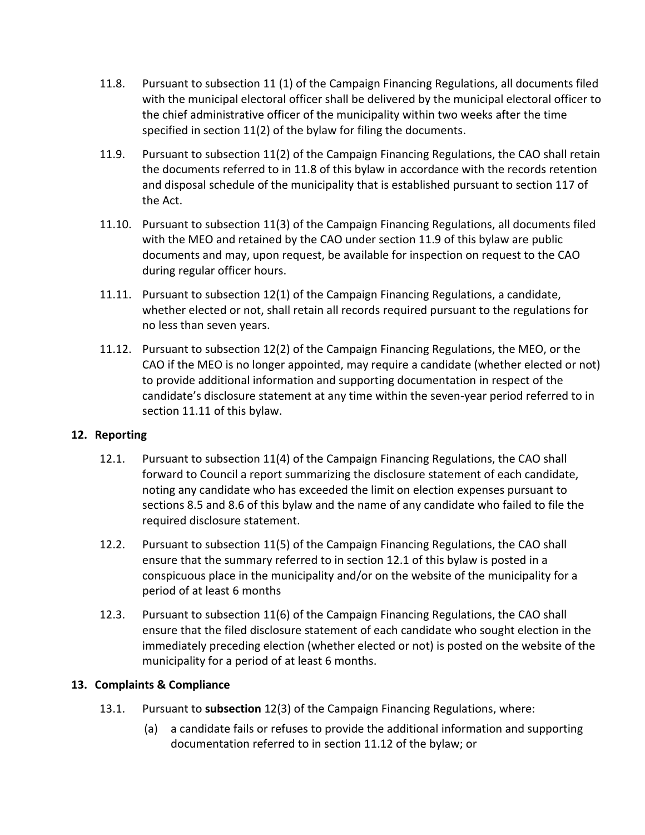- 11.8. Pursuant to subsection 11 (1) of the Campaign Financing Regulations, all documents filed with the municipal electoral officer shall be delivered by the municipal electoral officer to the chief administrative officer of the municipality within two weeks after the time specified in section 11(2) of the bylaw for filing the documents.
- 11.9. Pursuant to subsection 11(2) of the Campaign Financing Regulations, the CAO shall retain the documents referred to in 11.8 of this bylaw in accordance with the records retention and disposal schedule of the municipality that is established pursuant to section 117 of the Act.
- 11.10. Pursuant to subsection 11(3) of the Campaign Financing Regulations, all documents filed with the MEO and retained by the CAO under section 11.9 of this bylaw are public documents and may, upon request, be available for inspection on request to the CAO during regular officer hours.
- 11.11. Pursuant to subsection 12(1) of the Campaign Financing Regulations, a candidate, whether elected or not, shall retain all records required pursuant to the regulations for no less than seven years.
- 11.12. Pursuant to subsection 12(2) of the Campaign Financing Regulations, the MEO, or the CAO if the MEO is no longer appointed, may require a candidate (whether elected or not) to provide additional information and supporting documentation in respect of the candidate's disclosure statement at any time within the seven-year period referred to in section 11.11 of this bylaw.

# **12. Reporting**

- 12.1. Pursuant to subsection 11(4) of the Campaign Financing Regulations, the CAO shall forward to Council a report summarizing the disclosure statement of each candidate, noting any candidate who has exceeded the limit on election expenses pursuant to sections 8.5 and 8.6 of this bylaw and the name of any candidate who failed to file the required disclosure statement.
- 12.2. Pursuant to subsection 11(5) of the Campaign Financing Regulations, the CAO shall ensure that the summary referred to in section 12.1 of this bylaw is posted in a conspicuous place in the municipality and/or on the website of the municipality for a period of at least 6 months
- 12.3. Pursuant to subsection 11(6) of the Campaign Financing Regulations, the CAO shall ensure that the filed disclosure statement of each candidate who sought election in the immediately preceding election (whether elected or not) is posted on the website of the municipality for a period of at least 6 months.

# **13. Complaints & Compliance**

- 13.1. Pursuant to **subsection** 12(3) of the Campaign Financing Regulations, where:
	- (a) a candidate fails or refuses to provide the additional information and supporting documentation referred to in section 11.12 of the bylaw; or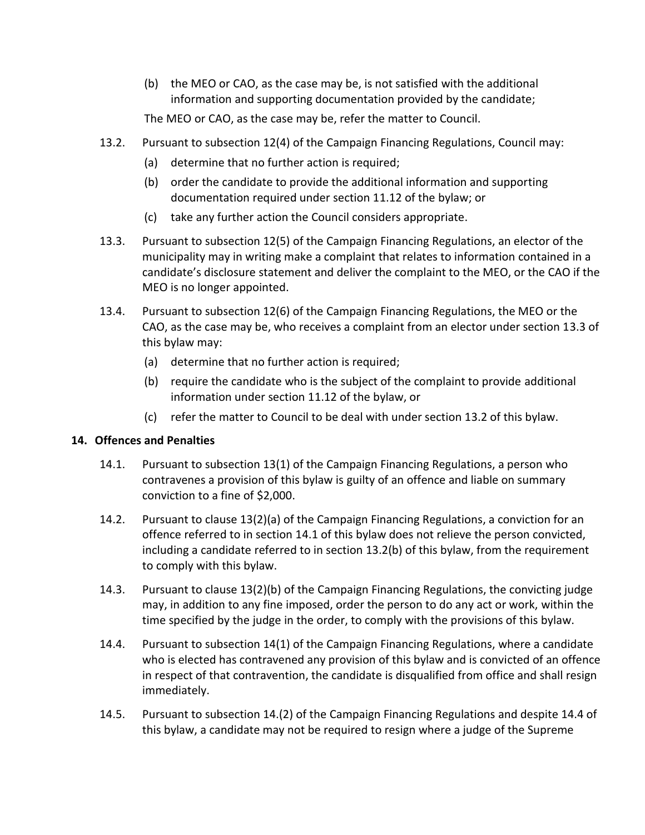(b) the MEO or CAO, as the case may be, is not satisfied with the additional information and supporting documentation provided by the candidate;

The MEO or CAO, as the case may be, refer the matter to Council.

- 13.2. Pursuant to subsection 12(4) of the Campaign Financing Regulations, Council may:
	- (a) determine that no further action is required;
	- (b) order the candidate to provide the additional information and supporting documentation required under section 11.12 of the bylaw; or
	- (c) take any further action the Council considers appropriate.
- 13.3. Pursuant to subsection 12(5) of the Campaign Financing Regulations, an elector of the municipality may in writing make a complaint that relates to information contained in a candidate's disclosure statement and deliver the complaint to the MEO, or the CAO if the MEO is no longer appointed.
- 13.4. Pursuant to subsection 12(6) of the Campaign Financing Regulations, the MEO or the CAO, as the case may be, who receives a complaint from an elector under section 13.3 of this bylaw may:
	- (a) determine that no further action is required;
	- (b) require the candidate who is the subject of the complaint to provide additional information under section 11.12 of the bylaw, or
	- (c) refer the matter to Council to be deal with under section 13.2 of this bylaw.

# **14. Offences and Penalties**

- 14.1. Pursuant to subsection 13(1) of the Campaign Financing Regulations, a person who contravenes a provision of this bylaw is guilty of an offence and liable on summary conviction to a fine of \$2,000.
- 14.2. Pursuant to clause 13(2)(a) of the Campaign Financing Regulations, a conviction for an offence referred to in section 14.1 of this bylaw does not relieve the person convicted, including a candidate referred to in section 13.2(b) of this bylaw, from the requirement to comply with this bylaw.
- 14.3. Pursuant to clause 13(2)(b) of the Campaign Financing Regulations, the convicting judge may, in addition to any fine imposed, order the person to do any act or work, within the time specified by the judge in the order, to comply with the provisions of this bylaw.
- 14.4. Pursuant to subsection 14(1) of the Campaign Financing Regulations, where a candidate who is elected has contravened any provision of this bylaw and is convicted of an offence in respect of that contravention, the candidate is disqualified from office and shall resign immediately.
- 14.5. Pursuant to subsection 14.(2) of the Campaign Financing Regulations and despite 14.4 of this bylaw, a candidate may not be required to resign where a judge of the Supreme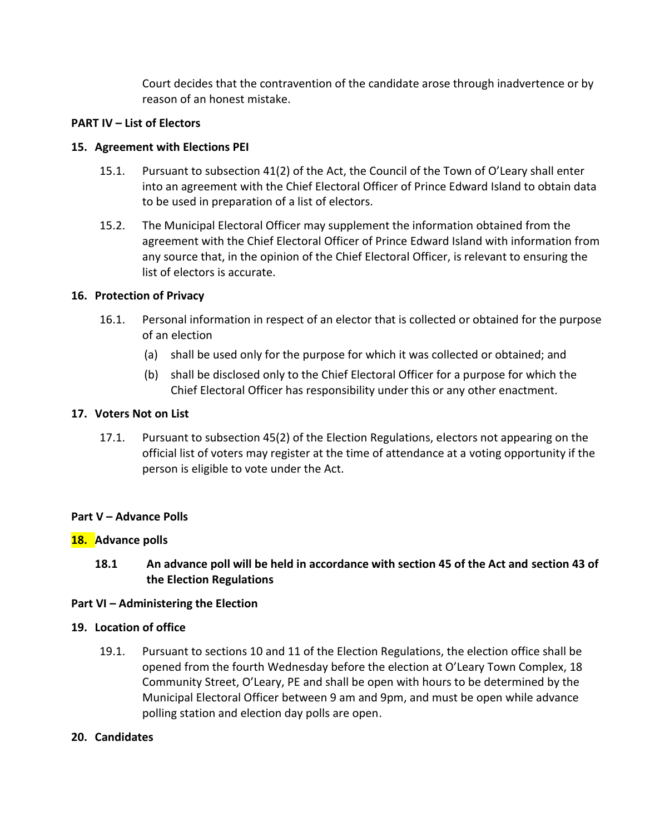Court decides that the contravention of the candidate arose through inadvertence or by reason of an honest mistake.

# **PART IV – List of Electors**

# **15. Agreement with Elections PEI**

- 15.1. Pursuant to subsection 41(2) of the Act, the Council of the Town of O'Leary shall enter into an agreement with the Chief Electoral Officer of Prince Edward Island to obtain data to be used in preparation of a list of electors.
- 15.2. The Municipal Electoral Officer may supplement the information obtained from the agreement with the Chief Electoral Officer of Prince Edward Island with information from any source that, in the opinion of the Chief Electoral Officer, is relevant to ensuring the list of electors is accurate.

# **16. Protection of Privacy**

- 16.1. Personal information in respect of an elector that is collected or obtained for the purpose of an election
	- (a) shall be used only for the purpose for which it was collected or obtained; and
	- (b) shall be disclosed only to the Chief Electoral Officer for a purpose for which the Chief Electoral Officer has responsibility under this or any other enactment.

# **17. Voters Not on List**

17.1. Pursuant to subsection 45(2) of the Election Regulations, electors not appearing on the official list of voters may register at the time of attendance at a voting opportunity if the person is eligible to vote under the Act.

# **Part V – Advance Polls**

# **18. Advance polls**

**18.1 An advance poll will be held in accordance with section 45 of the Act and section 43 of the Election Regulations** 

# **Part VI – Administering the Election**

# **19. Location of office**

19.1. Pursuant to sections 10 and 11 of the Election Regulations, the election office shall be opened from the fourth Wednesday before the election at O'Leary Town Complex, 18 Community Street, O'Leary, PE and shall be open with hours to be determined by the Municipal Electoral Officer between 9 am and 9pm, and must be open while advance polling station and election day polls are open.

# **20. Candidates**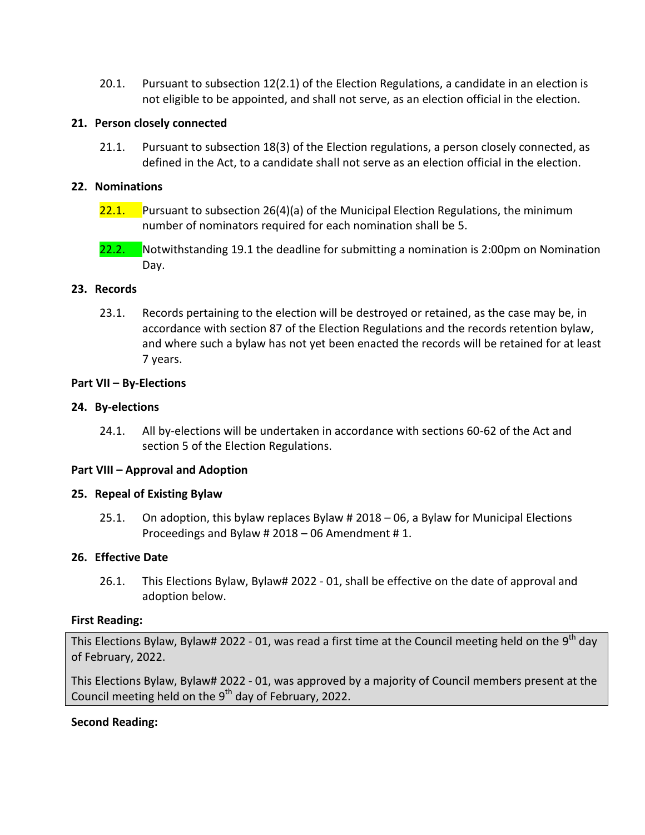20.1. Pursuant to subsection 12(2.1) of the Election Regulations, a candidate in an election is not eligible to be appointed, and shall not serve, as an election official in the election.

### **21. Person closely connected**

21.1. Pursuant to subsection 18(3) of the Election regulations, a person closely connected, as defined in the Act, to a candidate shall not serve as an election official in the election.

### **22. Nominations**

- 22.1. Pursuant to subsection 26(4)(a) of the Municipal Election Regulations, the minimum number of nominators required for each nomination shall be 5.
- 22.2. Notwithstanding 19.1 the deadline for submitting a nomination is 2:00pm on Nomination Day.

### **23. Records**

23.1. Records pertaining to the election will be destroyed or retained, as the case may be, in accordance with section 87 of the Election Regulations and the records retention bylaw, and where such a bylaw has not yet been enacted the records will be retained for at least 7 years.

### **Part VII – By-Elections**

### **24. By-elections**

24.1. All by-elections will be undertaken in accordance with sections 60-62 of the Act and section 5 of the Election Regulations.

#### **Part VIII – Approval and Adoption**

#### **25. Repeal of Existing Bylaw**

25.1. On adoption, this bylaw replaces Bylaw # 2018 – 06, a Bylaw for Municipal Elections Proceedings and Bylaw # 2018 – 06 Amendment # 1.

# **26. Effective Date**

26.1. This Elections Bylaw, Bylaw# 2022 - 01, shall be effective on the date of approval and adoption below.

#### **First Reading:**

This Elections Bylaw, Bylaw# 2022 - 01, was read a first time at the Council meeting held on the 9<sup>th</sup> day of February, 2022.

This Elections Bylaw, Bylaw# 2022 - 01, was approved by a majority of Council members present at the Council meeting held on the 9<sup>th</sup> day of February, 2022.

# **Second Reading:**